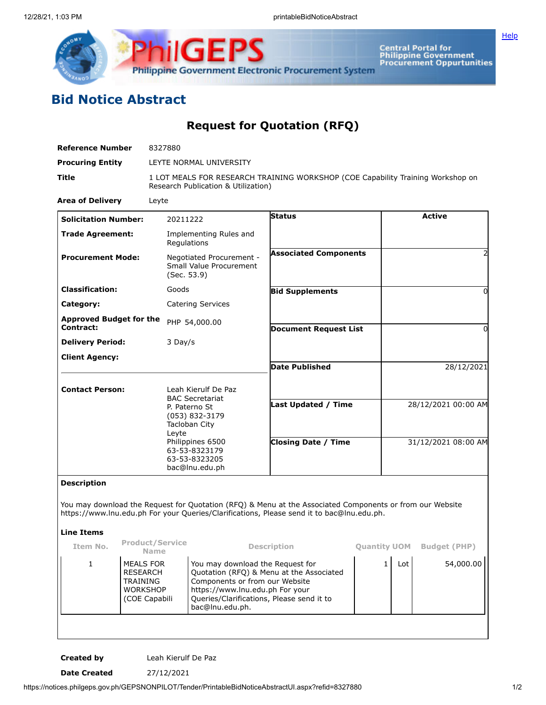

**Central Portal for<br>Philippine Government<br>Procurement Oppurtunities** 

**[Help](javascript:void(window.open()** 

## **Bid Notice Abstract**

**Request for Quotation (RFQ)**

| <b>Reference Number</b>                                 | 8327880                                                                                    |                                                                                                                                                                                                                   |                                                                                                                                                                                                       |                     |                     |                     |  |
|---------------------------------------------------------|--------------------------------------------------------------------------------------------|-------------------------------------------------------------------------------------------------------------------------------------------------------------------------------------------------------------------|-------------------------------------------------------------------------------------------------------------------------------------------------------------------------------------------------------|---------------------|---------------------|---------------------|--|
| <b>Procuring Entity</b>                                 | LEYTE NORMAL UNIVERSITY                                                                    |                                                                                                                                                                                                                   |                                                                                                                                                                                                       |                     |                     |                     |  |
| Title                                                   |                                                                                            | Research Publication & Utilization)                                                                                                                                                                               | 1 LOT MEALS FOR RESEARCH TRAINING WORKSHOP (COE Capability Training Workshop on                                                                                                                       |                     |                     |                     |  |
| <b>Area of Delivery</b>                                 | Leyte                                                                                      |                                                                                                                                                                                                                   |                                                                                                                                                                                                       |                     |                     |                     |  |
| <b>Solicitation Number:</b>                             |                                                                                            | 20211222                                                                                                                                                                                                          | Status                                                                                                                                                                                                |                     |                     | <b>Active</b>       |  |
| <b>Trade Agreement:</b>                                 |                                                                                            | Implementing Rules and<br>Regulations                                                                                                                                                                             |                                                                                                                                                                                                       |                     |                     |                     |  |
| <b>Procurement Mode:</b>                                |                                                                                            | Negotiated Procurement -<br>Small Value Procurement<br>(Sec. 53.9)                                                                                                                                                | <b>Associated Components</b>                                                                                                                                                                          |                     |                     |                     |  |
| <b>Classification:</b>                                  | Goods                                                                                      |                                                                                                                                                                                                                   | <b>Bid Supplements</b>                                                                                                                                                                                |                     |                     | 0                   |  |
| Category:                                               |                                                                                            | <b>Catering Services</b>                                                                                                                                                                                          |                                                                                                                                                                                                       |                     |                     |                     |  |
| <b>Approved Budget for the</b><br><b>Contract:</b>      |                                                                                            | PHP 54,000.00                                                                                                                                                                                                     | <b>Document Request List</b>                                                                                                                                                                          |                     |                     | 0                   |  |
| <b>Delivery Period:</b>                                 | 3 Day/s                                                                                    |                                                                                                                                                                                                                   |                                                                                                                                                                                                       |                     |                     |                     |  |
| <b>Client Agency:</b>                                   |                                                                                            |                                                                                                                                                                                                                   | <b>Date Published</b>                                                                                                                                                                                 |                     |                     |                     |  |
|                                                         |                                                                                            |                                                                                                                                                                                                                   |                                                                                                                                                                                                       |                     |                     | 28/12/2021          |  |
| <b>Contact Person:</b>                                  |                                                                                            | Leah Kierulf De Paz                                                                                                                                                                                               |                                                                                                                                                                                                       |                     |                     |                     |  |
|                                                         | Leyte                                                                                      | <b>BAC Secretariat</b><br>P. Paterno St<br>(053) 832-3179<br>Tacloban City                                                                                                                                        | Last Updated / Time                                                                                                                                                                                   |                     |                     | 28/12/2021 00:00 AM |  |
|                                                         |                                                                                            | Philippines 6500<br>63-53-8323179<br>63-53-8323205<br>bac@lnu.edu.ph                                                                                                                                              | <b>Closing Date / Time</b>                                                                                                                                                                            |                     | 31/12/2021 08:00 AM |                     |  |
| <b>Description</b>                                      |                                                                                            |                                                                                                                                                                                                                   |                                                                                                                                                                                                       |                     |                     |                     |  |
|                                                         |                                                                                            |                                                                                                                                                                                                                   | You may download the Request for Quotation (RFQ) & Menu at the Associated Components or from our Website<br>https://www.lnu.edu.ph For your Queries/Clarifications, Please send it to bac@lnu.edu.ph. |                     |                     |                     |  |
| <b>Line Items</b><br><b>Product/Service</b><br>Item No. |                                                                                            |                                                                                                                                                                                                                   | <b>Description</b>                                                                                                                                                                                    | <b>Quantity UOM</b> |                     | <b>Budget (PHP)</b> |  |
|                                                         | <b>Name</b>                                                                                |                                                                                                                                                                                                                   |                                                                                                                                                                                                       |                     |                     |                     |  |
| 1                                                       | <b>MEALS FOR</b><br><b>RESEARCH</b><br><b>TRAINING</b><br><b>WORKSHOP</b><br>(COE Capabili | You may download the Request for<br>Quotation (RFQ) & Menu at the Associated<br>Components or from our Website<br>https://www.lnu.edu.ph For your<br>Queries/Clarifications, Please send it to<br>bac@lnu.edu.ph. |                                                                                                                                                                                                       |                     | Lot<br>$\mathbf{1}$ | 54,000.00           |  |
|                                                         |                                                                                            |                                                                                                                                                                                                                   |                                                                                                                                                                                                       |                     |                     |                     |  |

**Created by** Leah Kierulf De Paz

**Date Created** 27/12/2021